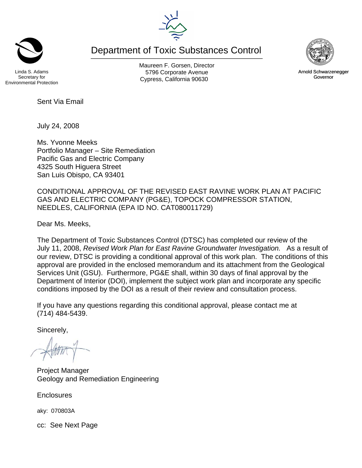Department of Toxic Substances Control



Arnold Schwarzenegger Governor

Linda S. Adams Secretary for Environmental Protection Maureen F. Gorsen, Director 5796 Corporate Avenue Cypress, California 90630

Sent Via Email

July 24, 2008

Ms. Yvonne Meeks Portfolio Manager – Site Remediation Pacific Gas and Electric Company 4325 South Higuera Street San Luis Obispo, CA 93401

CONDITIONAL APPROVAL OF THE REVISED EAST RAVINE WORK PLAN AT PACIFIC GAS AND ELECTRIC COMPANY (PG&E), TOPOCK COMPRESSOR STATION, NEEDLES, CALIFORNIA (EPA ID NO. CAT080011729)

Dear Ms. Meeks,

The Department of Toxic Substances Control (DTSC) has completed our review of the July 11, 2008, *Revised Work Plan for East Ravine Groundwater Investigation.* As a result of our review, DTSC is providing a conditional approval of this work plan. The conditions of this approval are provided in the enclosed memorandum and its attachment from the Geological Services Unit (GSU). Furthermore, PG&E shall, within 30 days of final approval by the Department of Interior (DOI), implement the subject work plan and incorporate any specific conditions imposed by the DOI as a result of their review and consultation process.

If you have any questions regarding this conditional approval, please contact me at (714) 484-5439.

Sincerely,

 $-144$ 

Project Manager Geology and Remediation Engineering

**Enclosures** 

aky: 070803A

cc: See Next Page